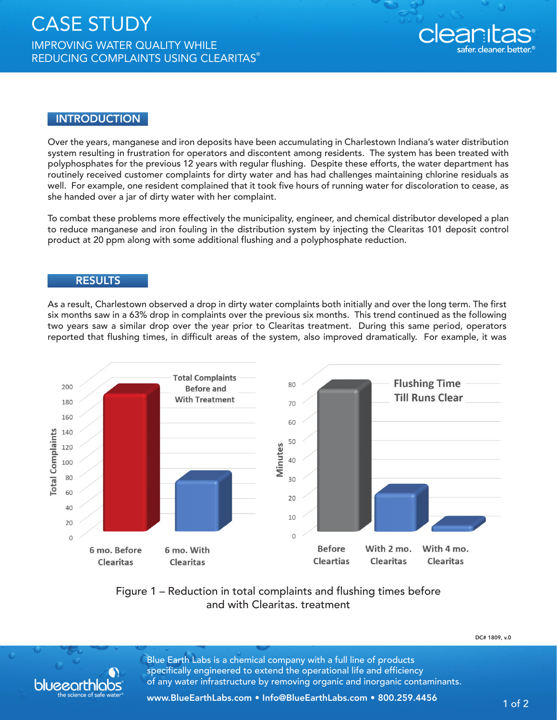

## **INTRODUCTION**

Over the years, manganese and iron deposits have been accumulating in Charlestown Indiana's water distribution system resulting in frustration for operators and discontent among residents. The system has been treated with polyphosphates for the previous 12 years with regular flushing. Despite these efforts, the water department has routinely received customer complaints for dirty water and has had challenges maintaining chlorine residuals as well. For example, one resident complained that it took five hours of running water for discoloration to cease, as she handed over a jar of dirty water with her complaint.

To combat these problems more effectively the municipality, engineer, and chemical distributor developed a plan to reduce manganese and iron fouling in the distribution system by injecting the Clearitas 101 deposit control product at 20 ppm along with some additional flushing and a polyphosphate reduction.

## **RESULTS**

blueearth

As a result, Charlestown observed a drop in dirty water complaints both initially and over the long term. The first six months saw in a 63% drop in complaints over the previous six months. This trend continued as the following two years saw a similar drop over the year prior to Clearitas treatment. During this same period, operators reported that flushing times, in difficult areas of the system, also improved dramatically. For example, it was



## Figure 1 – Reduction in total complaints and flushing times before and with Clearitas. treatment

DC# 1809, v.0

Blue Earth Labs is a chemical company with a full line of products specifically engineered to extend the operational life and efficiency of any water infrastructure by removing organic and inorganic contaminants.

www.BlueEarthLabs.com • Info@BlueEarthLabs.com • 800.259.4456 1 of 2